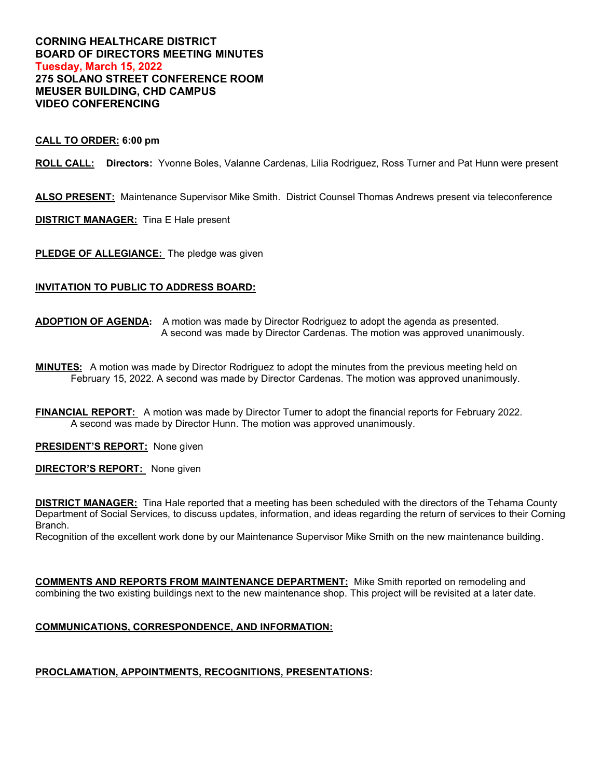## **CORNING HEALTHCARE DISTRICT BOARD OF DIRECTORS MEETING MINUTES Tuesday, March 15, 2022 275 SOLANO STREET CONFERENCE ROOM MEUSER BUILDING, CHD CAMPUS VIDEO CONFERENCING**

### **CALL TO ORDER: 6:00 pm**

**ROLL CALL: Directors:** Yvonne Boles, Valanne Cardenas, Lilia Rodriguez, Ross Turner and Pat Hunn were present

**ALSO PRESENT:** Maintenance Supervisor Mike Smith. District Counsel Thomas Andrews present via teleconference

**DISTRICT MANAGER:** Tina E Hale present

**PLEDGE OF ALLEGIANCE:** The pledge was given

### **INVITATION TO PUBLIC TO ADDRESS BOARD:**

**ADOPTION OF AGENDA:** A motion was made by Director Rodriguez to adopt the agenda as presented. A second was made by Director Cardenas. The motion was approved unanimously.

**MINUTES:** A motion was made by Director Rodriguez to adopt the minutes from the previous meeting held on February 15, 2022. A second was made by Director Cardenas. The motion was approved unanimously.

**FINANCIAL REPORT:** A motion was made by Director Turner to adopt the financial reports for February 2022. A second was made by Director Hunn. The motion was approved unanimously.

**PRESIDENT'S REPORT:** None given

**DIRECTOR'S REPORT:** None given

**DISTRICT MANAGER:** Tina Hale reported that a meeting has been scheduled with the directors of the Tehama County Department of Social Services, to discuss updates, information, and ideas regarding the return of services to their Corning Branch.

Recognition of the excellent work done by our Maintenance Supervisor Mike Smith on the new maintenance building.

**COMMENTS AND REPORTS FROM MAINTENANCE DEPARTMENT:** Mike Smith reported on remodeling and combining the two existing buildings next to the new maintenance shop. This project will be revisited at a later date.

# **COMMUNICATIONS, CORRESPONDENCE, AND INFORMATION:**

# **PROCLAMATION, APPOINTMENTS, RECOGNITIONS, PRESENTATIONS:**